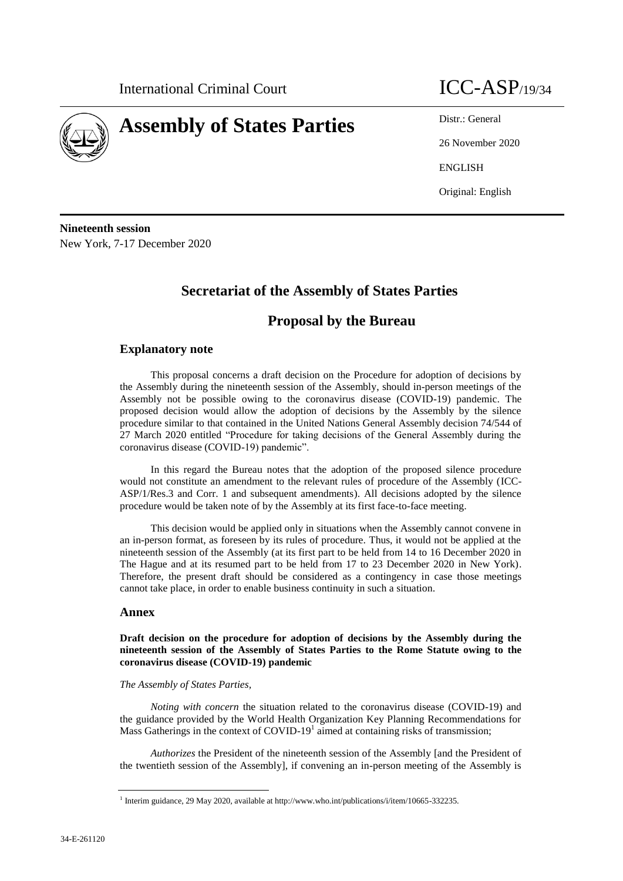

# **Assembly of States Parties** Distr.: General

26 November 2020 ENGLISH Original: English

**Nineteenth session** New York, 7-17 December 2020

# **Secretariat of the Assembly of States Parties**

# **Proposal by the Bureau**

## **Explanatory note**

This proposal concerns a draft decision on the Procedure for adoption of decisions by the Assembly during the nineteenth session of the Assembly, should in-person meetings of the Assembly not be possible owing to the coronavirus disease (COVID-19) pandemic. The proposed decision would allow the adoption of decisions by the Assembly by the silence procedure similar to that contained in the United Nations General Assembly decision 74/544 of 27 March 2020 entitled "Procedure for taking decisions of the General Assembly during the coronavirus disease (COVID-19) pandemic".

In this regard the Bureau notes that the adoption of the proposed silence procedure would not constitute an amendment to the relevant rules of procedure of the Assembly (ICC-ASP/1/Res.3 and Corr. 1 and subsequent amendments). All decisions adopted by the silence procedure would be taken note of by the Assembly at its first face-to-face meeting.

This decision would be applied only in situations when the Assembly cannot convene in an in-person format, as foreseen by its rules of procedure. Thus, it would not be applied at the nineteenth session of the Assembly (at its first part to be held from 14 to 16 December 2020 in The Hague and at its resumed part to be held from 17 to 23 December 2020 in New York). Therefore, the present draft should be considered as a contingency in case those meetings cannot take place, in order to enable business continuity in such a situation.

### **Annex**

**Draft decision on the procedure for adoption of decisions by the Assembly during the nineteenth session of the Assembly of States Parties to the Rome Statute owing to the coronavirus disease (COVID-19) pandemic**

### *The Assembly of States Parties,*

*Noting with concern* the situation related to the coronavirus disease (COVID-19) and the guidance provided by the World Health Organization Key Planning Recommendations for Mass Gatherings in the context of COVID-19 $1$  aimed at containing risks of transmission;

*Authorizes* the President of the nineteenth session of the Assembly [and the President of the twentieth session of the Assembly], if convening an in-person meeting of the Assembly is

<sup>1</sup> Interim guidance, 29 May 2020, available at http://www.who.int/publications/i/item/10665-332235.